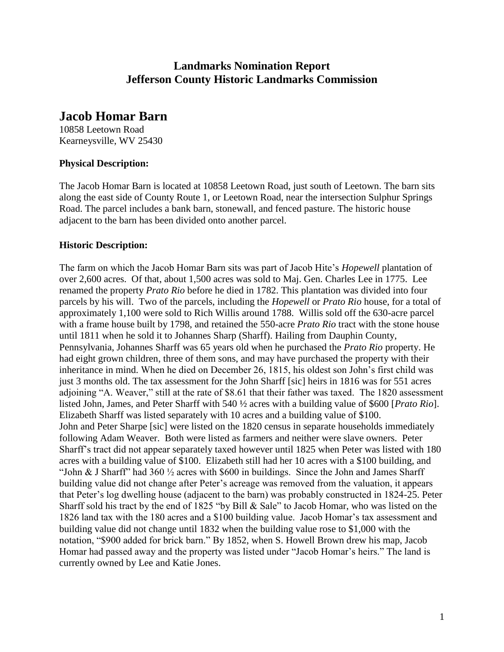# **Landmarks Nomination Report Jefferson County Historic Landmarks Commission**

# **Jacob Homar Barn**

10858 Leetown Road Kearneysville, WV 25430

## **Physical Description:**

The Jacob Homar Barn is located at 10858 Leetown Road, just south of Leetown. The barn sits along the east side of County Route 1, or Leetown Road, near the intersection Sulphur Springs Road. The parcel includes a bank barn, stonewall, and fenced pasture. The historic house adjacent to the barn has been divided onto another parcel.

### **Historic Description:**

The farm on which the Jacob Homar Barn sits was part of Jacob Hite's *Hopewell* plantation of over 2,600 acres. Of that, about 1,500 acres was sold to Maj. Gen. Charles Lee in 1775. Lee renamed the property *Prato Rio* before he died in 1782. This plantation was divided into four parcels by his will. Two of the parcels, including the *Hopewell* or *Prato Rio* house, for a total of approximately 1,100 were sold to Rich Willis around 1788. Willis sold off the 630-acre parcel with a frame house built by 1798, and retained the 550-acre *Prato Rio* tract with the stone house until 1811 when he sold it to Johannes Sharp (Sharff). Hailing from Dauphin County, Pennsylvania, Johannes Sharff was 65 years old when he purchased the *Prato Rio* property. He had eight grown children, three of them sons, and may have purchased the property with their inheritance in mind. When he died on December 26, 1815, his oldest son John's first child was just 3 months old. The tax assessment for the John Sharff [sic] heirs in 1816 was for 551 acres adjoining "A. Weaver," still at the rate of \$8.61 that their father was taxed. The 1820 assessment listed John, James, and Peter Sharff with 540 ½ acres with a building value of \$600 [*Prato Rio*]. Elizabeth Sharff was listed separately with 10 acres and a building value of \$100. John and Peter Sharpe [sic] were listed on the 1820 census in separate households immediately following Adam Weaver. Both were listed as farmers and neither were slave owners. Peter Sharff's tract did not appear separately taxed however until 1825 when Peter was listed with 180 acres with a building value of \$100. Elizabeth still had her 10 acres with a \$100 building, and "John & J Sharff" had  $360\frac{1}{2}$  acres with \$600 in buildings. Since the John and James Sharff building value did not change after Peter's acreage was removed from the valuation, it appears that Peter's log dwelling house (adjacent to the barn) was probably constructed in 1824-25. Peter Sharff sold his tract by the end of 1825 "by Bill & Sale" to Jacob Homar, who was listed on the 1826 land tax with the 180 acres and a \$100 building value. Jacob Homar's tax assessment and building value did not change until 1832 when the building value rose to \$1,000 with the notation, "\$900 added for brick barn." By 1852, when S. Howell Brown drew his map, Jacob Homar had passed away and the property was listed under "Jacob Homar's heirs." The land is currently owned by Lee and Katie Jones.